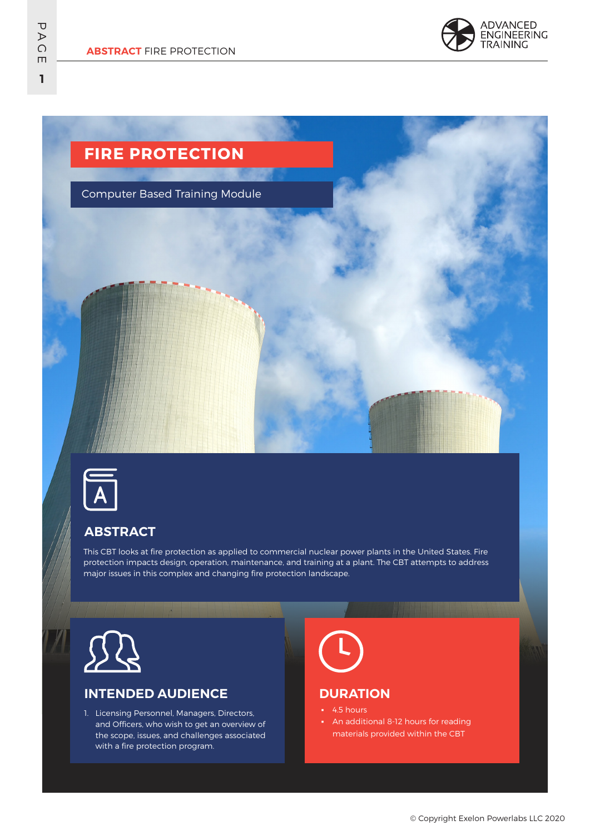

# **FIRE PROTECTION**

Computer Based Training Module



## **ABSTRACT**

This CBT looks at fire protection as applied to commercial nuclear power plants in the United States. Fire protection impacts design, operation, maintenance, and training at a plant. The CBT attempts to address major issues in this complex and changing fire protection landscape.



## **INTENDED AUDIENCE**

1. Licensing Personnel, Managers, Directors, and Officers, who wish to get an overview of the scope, issues, and challenges associated with a fire protection program.

## **DURATION**

- 4.5 hours
- An additional 8-12 hours for reading materials provided within the CBT